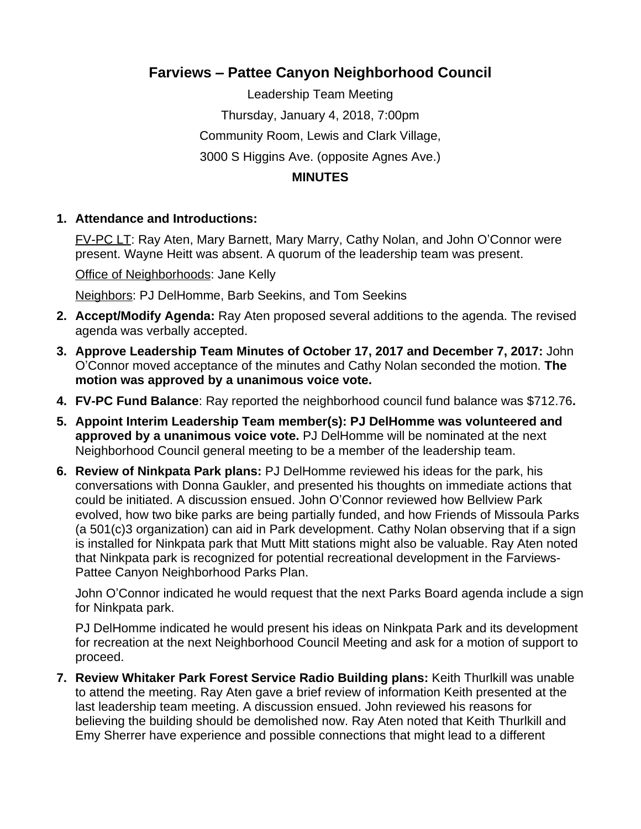## **Farviews – Pattee Canyon Neighborhood Council**

Leadership Team Meeting Thursday, January 4, 2018, 7:00pm Community Room, Lewis and Clark Village, 3000 S Higgins Ave. (opposite Agnes Ave.) **MINUTES**

## **1. Attendance and Introductions:**

FV-PC LT: Ray Aten, Mary Barnett, Mary Marry, Cathy Nolan, and John O'Connor were present. Wayne Heitt was absent. A quorum of the leadership team was present.

Office of Neighborhoods: Jane Kelly

Neighbors: PJ DelHomme, Barb Seekins, and Tom Seekins

- **2. Accept/Modify Agenda:** Ray Aten proposed several additions to the agenda. The revised agenda was verbally accepted.
- **3. Approve Leadership Team Minutes of October 17, 2017 and December 7, 2017:** John O'Connor moved acceptance of the minutes and Cathy Nolan seconded the motion. **The motion was approved by a unanimous voice vote.**
- **4. FV-PC Fund Balance**: Ray reported the neighborhood council fund balance was \$712.76**.**
- **5. Appoint Interim Leadership Team member(s): PJ DelHomme was volunteered and approved by a unanimous voice vote.** PJ DelHomme will be nominated at the next Neighborhood Council general meeting to be a member of the leadership team.
- **6. Review of Ninkpata Park plans:** PJ DelHomme reviewed his ideas for the park, his conversations with Donna Gaukler, and presented his thoughts on immediate actions that could be initiated. A discussion ensued. John O'Connor reviewed how Bellview Park evolved, how two bike parks are being partially funded, and how Friends of Missoula Parks (a 501(c)3 organization) can aid in Park development. Cathy Nolan observing that if a sign is installed for Ninkpata park that Mutt Mitt stations might also be valuable. Ray Aten noted that Ninkpata park is recognized for potential recreational development in the Farviews-Pattee Canyon Neighborhood Parks Plan.

John O'Connor indicated he would request that the next Parks Board agenda include a sign for Ninkpata park.

PJ DelHomme indicated he would present his ideas on Ninkpata Park and its development for recreation at the next Neighborhood Council Meeting and ask for a motion of support to proceed.

**7. Review Whitaker Park Forest Service Radio Building plans:** Keith Thurlkill was unable to attend the meeting. Ray Aten gave a brief review of information Keith presented at the last leadership team meeting. A discussion ensued. John reviewed his reasons for believing the building should be demolished now. Ray Aten noted that Keith Thurlkill and Emy Sherrer have experience and possible connections that might lead to a different